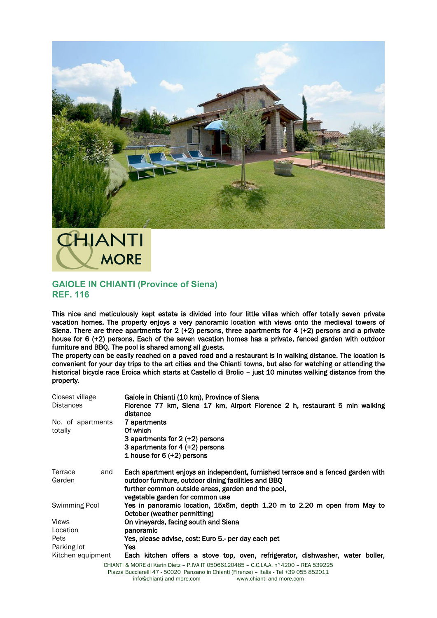

## HJANTI **MORE**

## **GAIOLE IN CHIANTI (Province of Siena) REF. 116**

This nice and meticulously kept estate is divided into four little villas which offer totally seven private vacation homes. The property enjoys a very panoramic location with views onto the medieval towers of Siena. There are three apartments for 2 (+2) persons, three apartments for 4 (+2) persons and a private house for 6 (+2) persons. Each of the seven vacation homes has a private, fenced garden with outdoor furniture and BBQ. The pool is shared among all guests.

The property can be easily reached on a paved road and a restaurant is in walking distance. The location is convenient for your day trips to the art cities and the Chianti towns, but also for watching or attending the historical bicycle race Eroica which starts at Castello di Brolio – just 10 minutes walking distance from the property.

| Closest village<br><b>Distances</b> | Gaiole in Chianti (10 km), Province of Siena<br>Florence 77 km, Siena 17 km, Airport Florence 2 h, restaurant 5 min walking<br>distance                                                        |
|-------------------------------------|------------------------------------------------------------------------------------------------------------------------------------------------------------------------------------------------|
| No. of apartments<br>totally        | 7 apartments<br>Of which<br>3 apartments for 2 (+2) persons                                                                                                                                    |
|                                     | 3 apartments for $4 (+2)$ persons<br>1 house for 6 (+2) persons                                                                                                                                |
| Terrace<br>and<br>Garden            | Each apartment enjoys an independent, furnished terrace and a fenced garden with<br>outdoor furniture, outdoor dining facilities and BBQ<br>further common outside areas, garden and the pool, |
| Swimming Pool                       | vegetable garden for common use<br>Yes in panoramic location, 15x6m, depth 1.20 m to 2.20 m open from May to<br>October (weather permitting)                                                   |
| <b>Views</b>                        | On vineyards, facing south and Siena                                                                                                                                                           |
| Location                            | panoramic                                                                                                                                                                                      |
| Pets                                | Yes, please advise, cost: Euro 5.- per day each pet                                                                                                                                            |
| Parking lot                         | Yes                                                                                                                                                                                            |
| Kitchen equipment                   | Each kitchen offers a stove top, oven, refrigerator, dishwasher, water boiler,                                                                                                                 |
|                                     | CHIANTI & MORE di Karin Dietz - P.IVA IT 05066120485 - C.C.I.A.A. n°4200 - REA 539225                                                                                                          |

Piazza Bucciarelli 47 - 50020 Panzano in Chianti (Firenze) – Italia - Tel +39 055 852011 info@chianti-and-more.com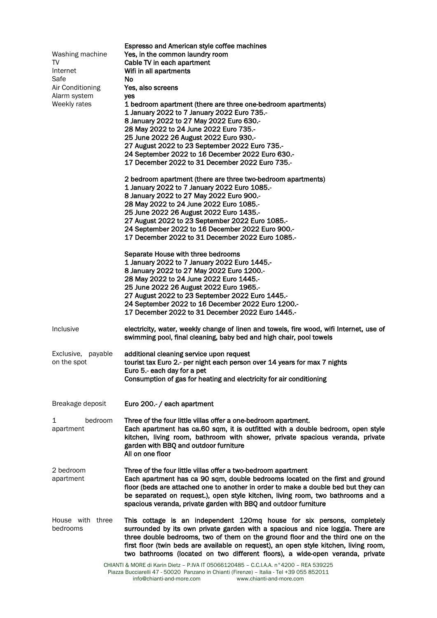| Washing machine<br>TV<br>Internet<br>Safe<br>Air Conditioning<br>Alarm system | Espresso and American style coffee machines<br>Yes, in the common laundry room<br>Cable TV in each apartment<br>Wifi in all apartments<br>No.<br>Yes, also screens<br>yes                                                                                                                                                                                                                                              |
|-------------------------------------------------------------------------------|------------------------------------------------------------------------------------------------------------------------------------------------------------------------------------------------------------------------------------------------------------------------------------------------------------------------------------------------------------------------------------------------------------------------|
| Weekly rates                                                                  | 1 bedroom apartment (there are three one-bedroom apartments)<br>1 January 2022 to 7 January 2022 Euro 735 -<br>8 January 2022 to 27 May 2022 Euro 630 .-<br>28 May 2022 to 24 June 2022 Euro 735.-<br>25 June 2022 26 August 2022 Euro 930 .-<br>27 August 2022 to 23 September 2022 Euro 735.-<br>24 September 2022 to 16 December 2022 Euro 630.-<br>17 December 2022 to 31 December 2022 Euro 735.-                 |
|                                                                               | 2 bedroom apartment (there are three two-bedroom apartments)<br>1 January 2022 to 7 January 2022 Euro 1085 .-<br>8 January 2022 to 27 May 2022 Euro 900 .-<br>28 May 2022 to 24 June 2022 Euro 1085 .-<br>25 June 2022 26 August 2022 Euro 1435 .-<br>27 August 2022 to 23 September 2022 Euro 1085.-<br>24 September 2022 to 16 December 2022 Euro 900.-<br>17 December 2022 to 31 December 2022 Euro 1085.-          |
|                                                                               | Separate House with three bedrooms<br>1 January 2022 to 7 January 2022 Euro 1445.-<br>8 January 2022 to 27 May 2022 Euro 1200 -<br>28 May 2022 to 24 June 2022 Euro 1445 .-<br>25 June 2022 26 August 2022 Euro 1965 .-<br>27 August 2022 to 23 September 2022 Euro 1445.-<br>24 September 2022 to 16 December 2022 Euro 1200.-<br>17 December 2022 to 31 December 2022 Euro 1445.-                                    |
| Inclusive                                                                     | electricity, water, weekly change of linen and towels, fire wood, wifi Internet, use of<br>swimming pool, final cleaning, baby bed and high chair, pool towels                                                                                                                                                                                                                                                         |
| Exclusive, payable<br>on the spot                                             | additional cleaning service upon request<br>tourist tax Euro 2.- per night each person over 14 years for max 7 nights<br>Euro 5.- each day for a pet<br>Consumption of gas for heating and electricity for air conditioning                                                                                                                                                                                            |
| Breakage deposit                                                              | Euro 200 .- / each apartment                                                                                                                                                                                                                                                                                                                                                                                           |
| 1<br>bedroom<br>apartment                                                     | Three of the four little villas offer a one-bedroom apartment.<br>Each apartment has ca.60 sqm, it is outfitted with a double bedroom, open style<br>kitchen, living room, bathroom with shower, private spacious veranda, private<br>garden with BBQ and outdoor furniture<br>All on one floor                                                                                                                        |
| 2 bedroom<br>apartment                                                        | Three of the four little villas offer a two-bedroom apartment<br>Each apartment has ca 90 sqm, double bedrooms located on the first and ground<br>floor (beds are attached one to another in order to make a double bed but they can<br>be separated on request.), open style kitchen, living room, two bathrooms and a<br>spacious veranda, private garden with BBQ and outdoor furniture                             |
| House with three<br>bedrooms                                                  | This cottage is an independent 120mq house for six persons, completely<br>surrounded by its own private garden with a spacious and nice loggia. There are<br>three double bedrooms, two of them on the ground floor and the third one on the<br>first floor (twin beds are available on request), an open style kitchen, living room,<br>two bathrooms (located on two different floors), a wide-open veranda, private |
|                                                                               | CHIANTI & MORE di Karin Dietz - P.IVA IT 05066120485 - C.C.I.A.A. n°4200 - REA 539225<br>Piazza Bucciarelli 47 - 50020 Panzano in Chianti (Firenze) - Italia - Tel +39 055 852011                                                                                                                                                                                                                                      |

info@chianti-and-more.com www.chianti-and-more.com